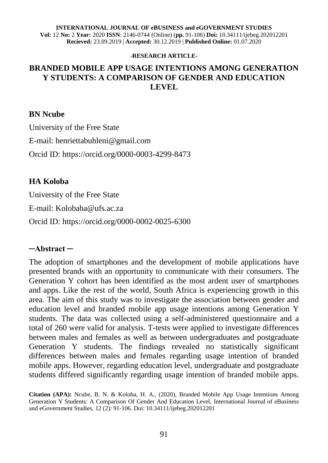**INTERNATIONAL JOURNAL OF eBUSINESS and eGOVERNMENT STUDIES Vol:** 12 **No:** 2 **Year:** 2020 **ISSN**: 2146-0744 (Online) (**pp.** 91-106) **Doi:** 10.34111/ijebeg.202012201 **Recieved:** 23.09.2019 | **Accepted:** 30.12.2019 | **Published Online:** 01.07.2020

#### **-RESEARCH ARTICLE-**

## **BRANDED MOBILE APP USAGE INTENTIONS AMONG GENERATION Y STUDENTS: A COMPARISON OF GENDER AND EDUCATION LEVEL**

#### **BN Ncube**

University of the Free State E-mail: henriettabuhleni@gmail.com Orcid ID: [https://orcid.org/0000-0003-4299-8473](https://urldefense.proofpoint.com/v2/url?u=https-3A__orcid.org_0000-2D0003-2D4299-2D8473&d=DwMFaQ&c=vTCSeBKl9YZZHWJzz-zQUQ&r=2x9W129dPoHkooH_nJPkBCi1_eu0f6S0PNf6so1bYRI&m=RYdLMO0a6Ycdf3j7sHA995r9xbz-SEKfwefufSQWz8E&s=3qijO69GMhX2I8Qh8-U_zcOTfY0AV3mieoOzPeaDu5I&e=)

#### **HA Koloba**

University of the Free State

E-mail: Kolobaha@ufs.ac.za

Orcid ID: [https://orcid.org/0000-0002-0025-6300](https://urldefense.proofpoint.com/v2/url?u=https-3A__orcid.org_0000-2D0002-2D0025-2D6300-3Flang-3Den&d=DwMCAA&c=vTCSeBKl9YZZHWJzz-zQUQ&r=2x9W129dPoHkooH_nJPkBCi1_eu0f6S0PNf6so1bYRI&m=VJbADGleyzWjkBwg5oqBHfvQAJo-xB1Im5V-4Oexcbo&s=UUhH8y5GDGwPHjEwJ7JbXJUFT6DuuTziCXXfp-L_4-E&e=)

#### **─Abstract ─**

The adoption of smartphones and the development of mobile applications have presented brands with an opportunity to communicate with their consumers. The Generation Y cohort has been identified as the most ardent user of smartphones and apps. Like the rest of the world, South Africa is experiencing growth in this area. The aim of this study was to investigate the association between gender and education level and branded mobile app usage intentions among Generation Y students. The data was collected using a self-administered questionnaire and a total of 260 were valid for analysis. T-tests were applied to investigate differences between males and females as well as between undergraduates and postgraduate Generation Y students. The findings revealed no statistically significant differences between males and females regarding usage intention of branded mobile apps. However, regarding education level, undergraduate and postgraduate students differed significantly regarding usage intention of branded mobile apps.

**Citation (APA):** Ncube, B. N. & Koloba, H. A., (2020), Branded Mobile App Usage Intentions Among Generation Y Students: A Comparison Of Gender And Education Level, International Journal of eBusiness and eGovernment Studies, 12 (2): 91-106. Doi: 10.34111/ijebeg.202012201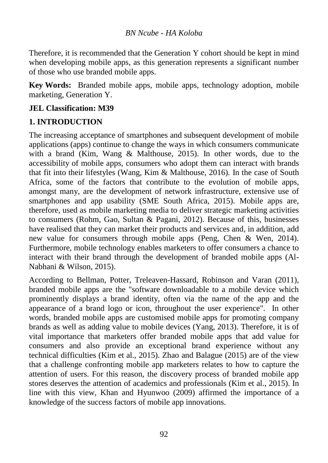Therefore, it is recommended that the Generation Y cohort should be kept in mind when developing mobile apps, as this generation represents a significant number of those who use branded mobile apps.

**Key Words:** Branded mobile apps, mobile apps, technology adoption, mobile marketing, Generation Y.

## **JEL Classification: M39**

## **1. INTRODUCTION**

The increasing acceptance of smartphones and subsequent development of mobile applications (apps) continue to change the ways in which consumers communicate with a brand (Kim, Wang & Malthouse, 2015). In other words, due to the accessibility of mobile apps, consumers who adopt them can interact with brands that fit into their lifestyles (Wang, Kim & Malthouse, 2016). In the case of South Africa, some of the factors that contribute to the evolution of mobile apps, amongst many, are the development of network infrastructure, extensive use of smartphones and app usability (SME South Africa, 2015). Mobile apps are, therefore, used as mobile marketing media to deliver strategic marketing activities to consumers (Rohm, Gao, Sultan & Pagani, 2012). Because of this, businesses have realised that they can market their products and services and, in addition, add new value for consumers through mobile apps (Peng, Chen & Wen, 2014). Furthermore, mobile technology enables marketers to offer consumers a chance to interact with their brand through the development of branded mobile apps (Al-Nabhani & Wilson, 2015).

According to Bellman, Potter, Treleaven-Hassard, Robinson and Varan (2011), branded mobile apps are the "software downloadable to a mobile device which prominently displays a brand identity, often via the name of the app and the appearance of a brand logo or icon, throughout the user experience". In other words, branded mobile apps are customised mobile apps for promoting company brands as well as adding value to mobile devices (Yang, 2013). Therefore, it is of vital importance that marketers offer branded mobile apps that add value for consumers and also provide an exceptional brand experience without any technical difficulties (Kim et al., 2015). Zhao and Balague (2015) are of the view that a challenge confronting mobile app marketers relates to how to capture the attention of users. For this reason, the discovery process of branded mobile app stores deserves the attention of academics and professionals (Kim et al., 2015). In line with this view, Khan and Hyunwoo (2009) affirmed the importance of a knowledge of the success factors of mobile app innovations.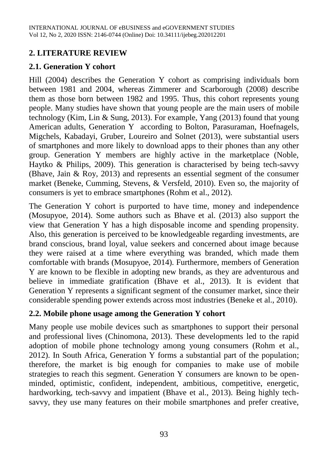## **2. LITERATURE REVIEW**

## **2.1. Generation Y cohort**

Hill (2004) describes the Generation Y cohort as comprising individuals born between 1981 and 2004, whereas Zimmerer and Scarborough (2008) describe them as those born between 1982 and 1995. Thus, this cohort represents young people. Many studies have shown that young people are the main users of mobile technology (Kim, Lin & Sung, 2013). For example, Yang (2013) found that young American adults, Generation Y according to Bolton, Parasuraman, Hoefnagels, Migchels, Kabadayi, Gruber, Loureiro and Solnet (2013), were substantial users of smartphones and more likely to download apps to their phones than any other group. Generation Y members are highly active in the marketplace (Noble, Haytko & Philips, 2009). This generation is characterised by being tech-savvy (Bhave, Jain & Roy, 2013) and represents an essential segment of the consumer market (Beneke, Cumming, Stevens, & Versfeld, 2010). Even so, the majority of consumers is yet to embrace smartphones (Rohm et al., 2012).

The Generation Y cohort is purported to have time, money and independence (Mosupyoe, 2014). Some authors such as Bhave et al. (2013) also support the view that Generation Y has a high disposable income and spending propensity. Also, this generation is perceived to be knowledgeable regarding investments, are brand conscious, brand loyal, value seekers and concerned about image because they were raised at a time where everything was branded, which made them comfortable with brands (Mosupyoe, 2014). Furthermore, members of Generation Y are known to be flexible in adopting new brands, as they are adventurous and believe in immediate gratification (Bhave et al., 2013). It is evident that Generation Y represents a significant segment of the consumer market, since their considerable spending power extends across most industries (Beneke et al., 2010).

## **2.2. Mobile phone usage among the Generation Y cohort**

Many people use mobile devices such as smartphones to support their personal and professional lives (Chinomona, 2013). These developments led to the rapid adoption of mobile phone technology among young consumers (Rohm et al., 2012). In South Africa, Generation Y forms a substantial part of the population; therefore, the market is big enough for companies to make use of mobile strategies to reach this segment. Generation Y consumers are known to be openminded, optimistic, confident, independent, ambitious, competitive, energetic, hardworking, tech-savvy and impatient (Bhave et al., 2013). Being highly techsavvy, they use many features on their mobile smartphones and prefer creative,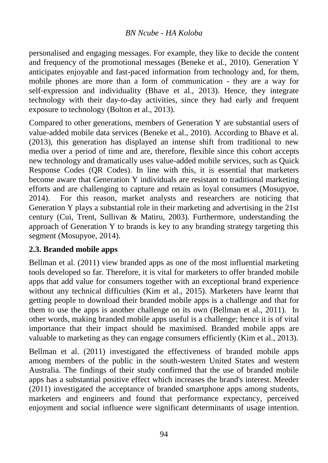personalised and engaging messages. For example, they like to decide the content and frequency of the promotional messages (Beneke et al., 2010). Generation Y anticipates enjoyable and fast-paced information from technology and, for them, mobile phones are more than a form of communication - they are a way for self-expression and individuality (Bhave et al., 2013). Hence, they integrate technology with their day-to-day activities, since they had early and frequent exposure to technology (Bolton et al., 2013).

Compared to other generations, members of Generation Y are substantial users of value-added mobile data services (Beneke et al., 2010). According to Bhave et al. (2013), this generation has displayed an intense shift from traditional to new media over a period of time and are, therefore, flexible since this cohort accepts new technology and dramatically uses value-added mobile services, such as Quick Response Codes (QR Codes). In line with this, it is essential that marketers become aware that Generation Y individuals are resistant to traditional marketing efforts and are challenging to capture and retain as loyal consumers (Mosupyoe, 2014). For this reason, market analysts and researchers are noticing that Generation Y plays a substantial role in their marketing and advertising in the 21st century (Cui, Trent, Sullivan & Matiru, 2003). Furthermore, understanding the approach of Generation Y to brands is key to any branding strategy targeting this segment (Mosupyoe, 2014).

## **2.3. Branded mobile apps**

Bellman et al. (2011) view branded apps as one of the most influential marketing tools developed so far. Therefore, it is vital for marketers to offer branded mobile apps that add value for consumers together with an exceptional brand experience without any technical difficulties (Kim et al., 2015). Marketers have learnt that getting people to download their branded mobile apps is a challenge and that for them to use the apps is another challenge on its own (Bellman et al., 2011). In other words, making branded mobile apps useful is a challenge; hence it is of vital importance that their impact should be maximised. Branded mobile apps are valuable to marketing as they can engage consumers efficiently (Kim et al., 2013).

Bellman et al. (2011) investigated the effectiveness of branded mobile apps among members of the public in the south-western United States and western Australia. The findings of their study confirmed that the use of branded mobile apps has a substantial positive effect which increases the brand's interest. Meeder (2011) investigated the acceptance of branded smartphone apps among students, marketers and engineers and found that performance expectancy, perceived enjoyment and social influence were significant determinants of usage intention.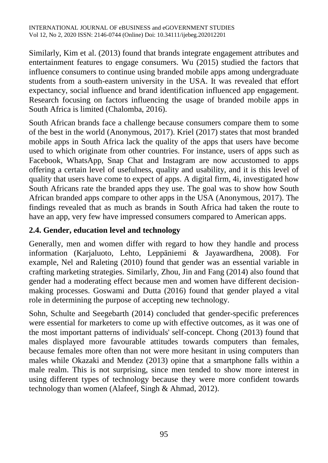Similarly, Kim et al. (2013) found that brands integrate engagement attributes and entertainment features to engage consumers. Wu (2015) studied the factors that influence consumers to continue using branded mobile apps among undergraduate students from a south-eastern university in the USA. It was revealed that effort expectancy, social influence and brand identification influenced app engagement. Research focusing on factors influencing the usage of branded mobile apps in South Africa is limited (Chalomba, 2016).

South African brands face a challenge because consumers compare them to some of the best in the world (Anonymous, 2017). Kriel (2017) states that most branded mobile apps in South Africa lack the quality of the apps that users have become used to which originate from other countries. For instance, users of apps such as Facebook, WhatsApp, Snap Chat and Instagram are now accustomed to apps offering a certain level of usefulness, quality and usability, and it is this level of quality that users have come to expect of apps. A digital firm, 4i, investigated how South Africans rate the branded apps they use. The goal was to show how South African branded apps compare to other apps in the USA (Anonymous, 2017). The findings revealed that as much as brands in South Africa had taken the route to have an app, very few have impressed consumers compared to American apps.

# **2.4. Gender, education level and technology**

Generally, men and women differ with regard to how they handle and process information (Karjaluoto, Lehto, Leppäniemi & Jayawardhena, 2008). For example, Nel and Raleting (2010) found that gender was an essential variable in crafting marketing strategies. Similarly, Zhou, Jin and Fang (2014) also found that gender had a moderating effect because men and women have different decisionmaking processes. Goswami and Dutta (2016) found that gender played a vital role in determining the purpose of accepting new technology.

Sohn, Schulte and Seegebarth (2014) concluded that gender-specific preferences were essential for marketers to come up with effective outcomes, as it was one of the most important patterns of individuals' self-concept. Chong (2013) found that males displayed more favourable attitudes towards computers than females, because females more often than not were more hesitant in using computers than males while Okazaki and Mendez (2013) opine that a smartphone falls within a male realm. This is not surprising, since men tended to show more interest in using different types of technology because they were more confident towards technology than women (Alafeef, Singh & Ahmad, 2012).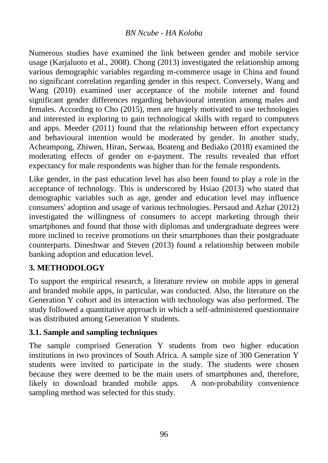Numerous studies have examined the link between gender and mobile service usage (Karjaluoto et al., 2008). Chong (2013) investigated the relationship among various demographic variables regarding m-commerce usage in China and found no significant correlation regarding gender in this respect. Conversely, Wang and Wang (2010) examined user acceptance of the mobile internet and found significant gender differences regarding behavioural intention among males and females. According to Cho (2015), men are hugely motivated to use technologies and interested in exploring to gain technological skills with regard to computers and apps. Meeder (2011) found that the relationship between effort expectancy and behavioural intention would be moderated by gender. In another study, Acheampong, Zhiwen, Hiran, Serwaa, Boateng and Bediako (2018) examined the moderating effects of gender on e-payment. The results revealed that effort expectancy for male respondents was higher than for the female respondents.

Like gender, in the past education level has also been found to play a role in the acceptance of technology. This is underscored by Hsiao (2013) who stated that demographic variables such as age, gender and education level may influence consumers' adoption and usage of various technologies. Persaud and Azhar (2012) investigated the willingness of consumers to accept marketing through their smartphones and found that those with diplomas and undergraduate degrees were more inclined to receive promotions on their smartphones than their postgraduate counterparts. Dineshwar and Steven (2013) found a relationship between mobile banking adoption and education level.

## **3. METHODOLOGY**

To support the empirical research, a literature review on mobile apps in general and branded mobile apps, in particular, was conducted. Also, the literature on the Generation Y cohort and its interaction with technology was also performed. The study followed a quantitative approach in which a self-administered questionnaire was distributed among Generation Y students.

## **3.1. Sample and sampling techniques**

The sample comprised Generation Y students from two higher education institutions in two provinces of South Africa. A sample size of 300 Generation Y students were invited to participate in the study. The students were chosen because they were deemed to be the main users of smartphones and, therefore, likely to download branded mobile apps. A non-probability convenience sampling method was selected for this study.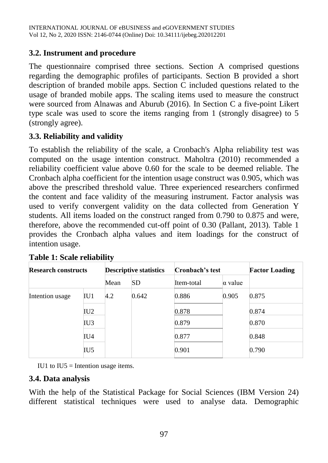## **3.2. Instrument and procedure**

The questionnaire comprised three sections. Section A comprised questions regarding the demographic profiles of participants. Section B provided a short description of branded mobile apps. Section C included questions related to the usage of branded mobile apps. The scaling items used to measure the construct were sourced from Alnawas and Aburub (2016). In Section C a five-point Likert type scale was used to score the items ranging from 1 (strongly disagree) to 5 (strongly agree).

## **3.3. Reliability and validity**

To establish the reliability of the scale, a Cronbach's Alpha reliability test was computed on the usage intention construct. Maholtra (2010) recommended a reliability coefficient value above 0.60 for the scale to be deemed reliable. The Cronbach alpha coefficient for the intention usage construct was 0.905, which was above the prescribed threshold value. Three experienced researchers confirmed the content and face validity of the measuring instrument. Factor analysis was used to verify convergent validity on the data collected from Generation Y students. All items loaded on the construct ranged from 0.790 to 0.875 and were, therefore, above the recommended cut-off point of 0.30 (Pallant, 2013). Table 1 provides the Cronbach alpha values and item loadings for the construct of intention usage.

| <b>Research constructs</b> |     |      | <b>Descriptive statistics</b> | Cronbach's test |                | <b>Factor Loading</b> |  |
|----------------------------|-----|------|-------------------------------|-----------------|----------------|-----------------------|--|
|                            |     | Mean | <b>SD</b>                     | Item-total      | $\alpha$ value |                       |  |
| Intention usage            | IU1 | 4.2  | 0.642                         | 0.886           | 0.905          | 0.875                 |  |
|                            | IU2 |      |                               | 0.878           |                | 0.874                 |  |
|                            | IU3 |      |                               | 0.879           |                | 0.870                 |  |
|                            | IU4 |      |                               | 0.877           |                | 0.848                 |  |
|                            | IU5 |      |                               | 0.901           |                | 0.790                 |  |

IU1 to IU5 = Intention usage items.

#### **3.4. Data analysis**

With the help of the Statistical Package for Social Sciences (IBM Version 24) different statistical techniques were used to analyse data. Demographic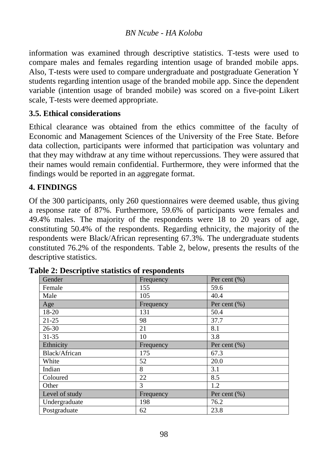information was examined through descriptive statistics. T-tests were used to compare males and females regarding intention usage of branded mobile apps. Also, T-tests were used to compare undergraduate and postgraduate Generation Y students regarding intention usage of the branded mobile app. Since the dependent variable (intention usage of branded mobile) was scored on a five-point Likert scale, T-tests were deemed appropriate.

## **3.5. Ethical considerations**

Ethical clearance was obtained from the ethics committee of the faculty of Economic and Management Sciences of the University of the Free State. Before data collection, participants were informed that participation was voluntary and that they may withdraw at any time without repercussions. They were assured that their names would remain confidential. Furthermore, they were informed that the findings would be reported in an aggregate format.

## **4. FINDINGS**

Of the 300 participants, only 260 questionnaires were deemed usable, thus giving a response rate of 87%. Furthermore, 59.6% of participants were females and 49.4% males. The majority of the respondents were 18 to 20 years of age, constituting 50.4% of the respondents. Regarding ethnicity, the majority of the respondents were Black/African representing 67.3%. The undergraduate students constituted 76.2% of the respondents. Table 2, below, presents the results of the descriptive statistics.

| Gender         | Frequency | Per cent $(\% )$ |
|----------------|-----------|------------------|
| Female         | 155       | 59.6             |
| Male           | 105       | 40.4             |
| Age            | Frequency | Per cent $(\% )$ |
| 18-20          | 131       | 50.4             |
| $21 - 25$      | 98        | 37.7             |
| 26-30          | 21        | 8.1              |
| $31 - 35$      | 10        | 3.8              |
| Ethnicity      | Frequency | Per cent $(\% )$ |
| Black/African  | 175       | 67.3             |
| White          | 52        | 20.0             |
| Indian         | 8         | 3.1              |
| Coloured       | 22        | 8.5              |
| Other          | 3         | 1.2              |
| Level of study | Frequency | Per cent $(\% )$ |
| Undergraduate  | 198       | 76.2             |
| Postgraduate   | 62        | 23.8             |

|  | <b>Table 2: Descriptive statistics of respondents</b> |  |  |  |
|--|-------------------------------------------------------|--|--|--|
|--|-------------------------------------------------------|--|--|--|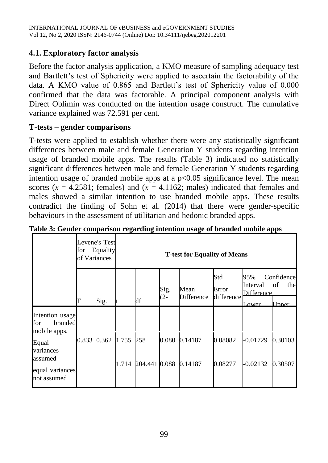## **4.1. Exploratory factor analysis**

Before the factor analysis application, a KMO measure of sampling adequacy test and Bartlett's test of Sphericity were applied to ascertain the factorability of the data. A KMO value of 0.865 and Bartlett's test of Sphericity value of 0.000 confirmed that the data was factorable. A principal component analysis with Direct Oblimin was conducted on the intention usage construct. The cumulative variance explained was 72.591 per cent.

## **T-tests – gender comparisons**

T-tests were applied to establish whether there were any statistically significant differences between male and female Generation Y students regarding intention usage of branded mobile apps. The results (Table 3) indicated no statistically significant differences between male and female Generation Y students regarding intention usage of branded mobile apps at a  $p<0.05$  significance level. The mean scores  $(x = 4.2581$ ; females) and  $(x = 4.1162$ ; males) indicated that females and males showed a similar intention to use branded mobile apps. These results contradict the finding of Sohn et al. (2014) that there were gender-specific behaviours in the assessment of utilitarian and hedonic branded apps.

|                                                                                                                      | of Variances | Levene's Test<br>for Equality |       | <b>T-test for Equality of Means</b> |             |                    |                            |                                        |                                      |  |  |
|----------------------------------------------------------------------------------------------------------------------|--------------|-------------------------------|-------|-------------------------------------|-------------|--------------------|----------------------------|----------------------------------------|--------------------------------------|--|--|
|                                                                                                                      | F            | Sig.                          |       | df                                  | Sig.<br>(2- | Mean<br>Difference | Std<br>Error<br>difference | 95%<br>Interval<br>Difference<br>Lower | Confidence<br>of<br>the<br>$I$ Inner |  |  |
| Intention usage<br>for<br>branded<br>mobile apps.<br>Equal<br>variances<br>assumed<br>equal variances<br>not assumed | 0.833        | 0.362 1.755 258               | 1.714 | 204.441 0.088                       | 0.080       | 0.14187<br>0.14187 | 0.08082<br>0.08277         | $-0.01729$<br>$-0.02132$               | 0.30103<br>0.30507                   |  |  |

|  | Table 3: Gender comparison regarding intention usage of branded mobile apps |  |  |  |
|--|-----------------------------------------------------------------------------|--|--|--|
|  |                                                                             |  |  |  |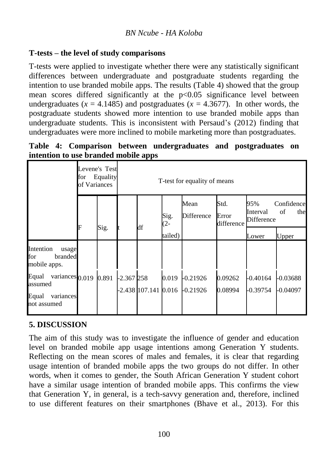### **T-tests – the level of study comparisons**

T-tests were applied to investigate whether there were any statistically significant differences between undergraduate and postgraduate students regarding the intention to use branded mobile apps. The results (Table 4) showed that the group mean scores differed significantly at the  $p<0.05$  significance level between undergraduates  $(x = 4.1485)$  and postgraduates  $(x = 4.3677)$ . In other words, the postgraduate students showed more intention to use branded mobile apps than undergraduate students. This is inconsistent with Persaud's (2012) finding that undergraduates were more inclined to mobile marketing more than postgraduates.

|  |                                      | Table 4: Comparison between undergraduates and postgraduates on |  |  |
|--|--------------------------------------|-----------------------------------------------------------------|--|--|
|  | intention to use branded mobile apps |                                                                 |  |  |

|                                                                                     | Levene's Test<br>for<br>of Variances | Equality |              | T-test for equality of means |             |                                                   |                    |                                                          |                          |  |
|-------------------------------------------------------------------------------------|--------------------------------------|----------|--------------|------------------------------|-------------|---------------------------------------------------|--------------------|----------------------------------------------------------|--------------------------|--|
|                                                                                     |                                      |          |              |                              | Sig.<br>(2- | Std.<br>Mean<br>Difference<br>Error<br>difference |                    | 95%<br>Confidence<br>of<br>Interval<br>the<br>Difference |                          |  |
|                                                                                     | F                                    | Sig.     |              | df                           | tailed)     |                                                   |                    | Lower                                                    | Upper                    |  |
| Intention<br>usage<br>for<br>branded<br>mobile apps.                                |                                      |          |              |                              |             |                                                   |                    |                                                          |                          |  |
| Equal<br>variances <sub>0.019</sub><br>assumed<br>Equal<br>variances<br>not assumed |                                      | 0.891    | $-2.367$ 258 |                              | 0.019       | $-0.21926$<br>$-2.438$ 107.141 0.016 $-0.21926$   | 0.09262<br>0.08994 | $-0.40164$<br>-0.39754                                   | $-0.03688$<br>$-0.04097$ |  |

## **5. DISCUSSION**

The aim of this study was to investigate the influence of gender and education level on branded mobile app usage intentions among Generation Y students. Reflecting on the mean scores of males and females, it is clear that regarding usage intention of branded mobile apps the two groups do not differ. In other words, when it comes to gender, the South African Generation Y student cohort have a similar usage intention of branded mobile apps. This confirms the view that Generation Y, in general, is a tech-savvy generation and, therefore, inclined to use different features on their smartphones (Bhave et al., 2013). For this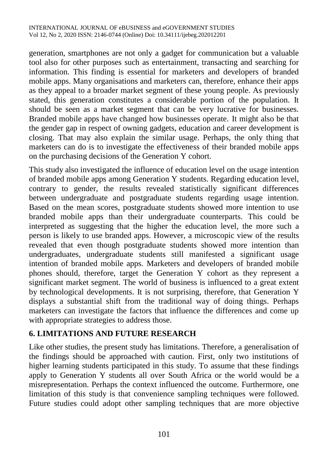generation, smartphones are not only a gadget for communication but a valuable tool also for other purposes such as entertainment, transacting and searching for information. This finding is essential for marketers and developers of branded mobile apps. Many organisations and marketers can, therefore, enhance their apps as they appeal to a broader market segment of these young people. As previously stated, this generation constitutes a considerable portion of the population. It should be seen as a market segment that can be very lucrative for businesses. Branded mobile apps have changed how businesses operate. It might also be that the gender gap in respect of owning gadgets, education and career development is closing. That may also explain the similar usage. Perhaps, the only thing that marketers can do is to investigate the effectiveness of their branded mobile apps on the purchasing decisions of the Generation Y cohort.

This study also investigated the influence of education level on the usage intention of branded mobile apps among Generation Y students. Regarding education level, contrary to gender, the results revealed statistically significant differences between undergraduate and postgraduate students regarding usage intention. Based on the mean scores, postgraduate students showed more intention to use branded mobile apps than their undergraduate counterparts. This could be interpreted as suggesting that the higher the education level, the more such a person is likely to use branded apps. However, a microscopic view of the results revealed that even though postgraduate students showed more intention than undergraduates, undergraduate students still manifested a significant usage intention of branded mobile apps. Marketers and developers of branded mobile phones should, therefore, target the Generation Y cohort as they represent a significant market segment. The world of business is influenced to a great extent by technological developments. It is not surprising, therefore, that Generation Y displays a substantial shift from the traditional way of doing things. Perhaps marketers can investigate the factors that influence the differences and come up with appropriate strategies to address those.

## **6. LIMITATIONS AND FUTURE RESEARCH**

Like other studies, the present study has limitations. Therefore, a generalisation of the findings should be approached with caution. First, only two institutions of higher learning students participated in this study. To assume that these findings apply to Generation Y students all over South Africa or the world would be a misrepresentation. Perhaps the context influenced the outcome. Furthermore, one limitation of this study is that convenience sampling techniques were followed. Future studies could adopt other sampling techniques that are more objective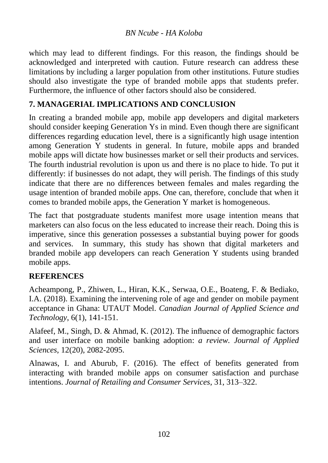which may lead to different findings. For this reason, the findings should be acknowledged and interpreted with caution. Future research can address these limitations by including a larger population from other institutions. Future studies should also investigate the type of branded mobile apps that students prefer. Furthermore, the influence of other factors should also be considered.

## **7. MANAGERIAL IMPLICATIONS AND CONCLUSION**

In creating a branded mobile app, mobile app developers and digital marketers should consider keeping Generation Ys in mind. Even though there are significant differences regarding education level, there is a significantly high usage intention among Generation Y students in general. In future, mobile apps and branded mobile apps will dictate how businesses market or sell their products and services. The fourth industrial revolution is upon us and there is no place to hide. To put it differently: if businesses do not adapt, they will perish. The findings of this study indicate that there are no differences between females and males regarding the usage intention of branded mobile apps. One can, therefore, conclude that when it comes to branded mobile apps, the Generation Y market is homogeneous.

The fact that postgraduate students manifest more usage intention means that marketers can also focus on the less educated to increase their reach. Doing this is imperative, since this generation possesses a substantial buying power for goods and services. In summary, this study has shown that digital marketers and branded mobile app developers can reach Generation Y students using branded mobile apps.

#### **REFERENCES**

Acheampong, P., Zhiwen, L., Hiran, K.K., Serwaa, O.E., Boateng, F. & Bediako, I.A. (2018). Examining the intervening role of age and gender on mobile payment acceptance in Ghana: UTAUT Model. *Canadian Journal of Applied Science and Technology*, 6(1), 141-151.

Alafeef, M., Singh, D. & Ahmad, K. (2012). The influence of demographic factors and user interface on mobile banking adoption: *a review. Journal of Applied Sciences*, 12(20), 2082-2095.

Alnawas, I. and Aburub, F. (2016). The effect of benefits generated from interacting with branded mobile apps on consumer satisfaction and purchase intentions. *Journal of Retailing and Consumer Services*, 31, 313–322.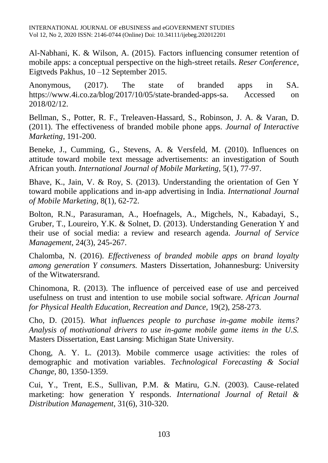Al-Nabhani, K. & Wilson, A. (2015). Factors influencing consumer retention of mobile apps: a conceptual perspective on the high-street retails. *Reser Conference*, Eigtveds Pakhus, 10 –12 September 2015.

Anonymous, (2017). The state of branded apps in SA. [https://www.4i.co.za/blog/2017/10/05/state-branded-apps-sa.](https://www.4i.co.za/blog/2017/10/05/state-branded-apps-sa) Accessed on 2018/02/12.

Bellman, S., Potter, R. F., Treleaven-Hassard, S., Robinson, J. A. & Varan, D. (2011). The effectiveness of branded mobile phone apps. *Journal of Interactive Marketing*, 191-200.

Beneke, J., Cumming, G., Stevens, A. & Versfeld, M. (2010). Influences on attitude toward mobile text message advertisements: an investigation of South African youth. *International Journal of Mobile Marketing,* 5(1), 77-97.

Bhave, K., Jain, V. & Roy, S. (2013). Understanding the orientation of Gen Y toward mobile applications and in-app advertising in India. *International Journal of Mobile Marketing,* 8(1), 62-72.

Bolton, R.N., Parasuraman, A., Hoefnagels, A., Migchels, N., Kabadayi, S., Gruber, T., Loureiro, Y.K. & Solnet, D. (2013). Understanding Generation Y and their use of social media: a review and research agenda. *Journal of Service Management*, 24(3), 245-267.

Chalomba, N. (2016). *Effectiveness of branded mobile apps on brand loyalty among generation Y consumers.* Masters Dissertation, Johannesburg: University of the Witwatersrand.

Chinomona, R. (2013). The influence of perceived ease of use and perceived usefulness on trust and intention to use mobile social software. *African Journal for Physical Health Education, Recreation and Dance,* 19(2), 258-273.

Cho, D. (2015). *What influences people to purchase in-game mobile items? Analysis of motivational drivers to use in-game mobile game items in the U.S.*  Masters Dissertation, East Lansing: Michigan State University.

Chong, A. Y. L. (2013). Mobile commerce usage activities: the roles of demographic and motivation variables. *Technological Forecasting & Social Change*, 80, 1350-1359.

Cui, Y., Trent, E.S., Sullivan, P.M. & Matiru, G.N. (2003). Cause-related marketing: how generation Y responds. *International Journal of Retail & Distribution Management*, 31(6), 310-320.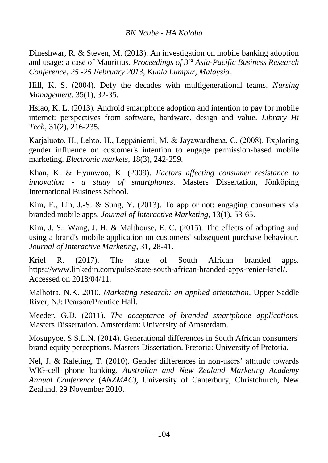Dineshwar, R. & Steven, M. (2013). An investigation on mobile banking adoption and usage: a case of Mauritius. *Proceedings of 3rd Asia-Pacific Business Research Conference, 25 -25 February 2013*, *Kuala Lumpur, Malaysia.*

Hill, K. S. (2004). Defy the decades with multigenerational teams. *Nursing Management*, 35(1), 32-35.

Hsiao, K. L. (2013). Android smartphone adoption and intention to pay for mobile internet: perspectives from software, hardware, design and value. *Library Hi Tech*, 31(2), 216-235.

Karjaluoto, H., Lehto, H., Leppäniemi, M. & Jayawardhena, C. (2008). Exploring gender influence on customer's intention to engage permission‐based mobile marketing. *Electronic markets*, 18(3), 242-259.

Khan, K. & Hyunwoo, K. (2009). *Factors affecting consumer resistance to innovation - a study of smartphones*. Masters Dissertation, Jönköping International Business School.

Kim, E., Lin, J.-S. & Sung, Y. (2013). To app or not: engaging consumers via branded mobile apps. *Journal of Interactive Marketing*, 13(1), 53-65.

Kim, J. S., Wang, J. H. & Malthouse, E. C. (2015). The effects of adopting and using a brand's mobile application on customers' subsequent purchase behaviour. *Journal of Interactive Marketing*, 31, 28-41.

Kriel R. (2017). The state of South African branded apps. [https://www.linkedin.com/pulse/state-south-african-branded-apps-renier-kriel/.](https://www.linkedin.com/pulse/state-south-african-branded-apps-renier-kriel/) Accessed on 2018/04/11.

Malhotra, N.K. 2010. *Marketing research: an applied orientation*. Upper Saddle River, NJ: Pearson/Prentice Hall.

Meeder, G.D. (2011). *The acceptance of branded smartphone applications*. Masters Dissertation. Amsterdam: University of Amsterdam.

Mosupyoe, S.S.L.N. (2014). Generational differences in South African consumers' brand equity perceptions. Masters Dissertation. Pretoria: University of Pretoria.

Nel, J. & Raleting, T. (2010). Gender differences in non-users' attitude towards WIG-cell phone banking. *Australian and New Zealand Marketing Academy Annual Conference* (*ANZMAC),* University of Canterbury, Christchurch, New Zealand, 29 November 2010.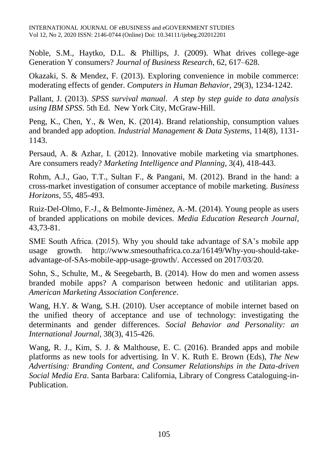Noble, S.M., Haytko, D.L. & Phillips, J. (2009). What drives college-age Generation Y consumers? *Journal of Business Research*, 62, 617–628.

Okazaki, S. & Mendez, F. (2013). Exploring convenience in mobile commerce: moderating effects of gender. *Computers in Human Behavior*, 29(3), 1234-1242.

Pallant, J. (2013). *SPSS survival manual*. *A step by step guide to data analysis using IBM SPSS*. 5th Ed. New York City, McGraw-Hill.

Peng, K., Chen, Y., & Wen, K. (2014). Brand relationship, consumption values and branded app adoption. *Industrial Management & Data Systems*, 114(8), 1131- 1143.

Persaud, A. & Azhar, I. (2012). Innovative mobile marketing via smartphones. Are consumers ready? *Marketing Intelligence and Planning*, 3(4), 418-443.

Rohm, A.J., Gao, T.T., Sultan F., & Pangani, M. (2012). Brand in the hand: a cross-market investigation of consumer acceptance of mobile marketing. *Business Horizons,* 55, 485-493.

Ruiz-Del-Olmo, F.-J., & Belmonte-Jiménez, A.-M. (2014). Young people as users of branded applications on mobile devices. *Media Education Research Journal*, 43,73-81.

SME South Africa. (2015). Why you should take advantage of SA's mobile app usage growth. [http://www.smesouthafrica.co.za/16149/Why-you-should-take](http://www.smesouthafrica.co.za/16149/Why-you-should-take-advantage-of-SAs-mobile-app-usage-growth/)[advantage-of-SAs-mobile-app-usage-growth/.](http://www.smesouthafrica.co.za/16149/Why-you-should-take-advantage-of-SAs-mobile-app-usage-growth/) Accessed on 2017/03/20.

Sohn, S., Schulte, M., & Seegebarth, B. (2014). How do men and women assess branded mobile apps? A comparison between hedonic and utilitarian apps. *American Marketing Association Conference*.

Wang, H.Y. & Wang, S.H. (2010). User acceptance of mobile internet based on the unified theory of acceptance and use of technology: investigating the determinants and gender differences. *Social Behavior and Personality: an International Journal*, 38(3), 415-426.

Wang, R. J., Kim, S. J. & Malthouse, E. C. (2016). Branded apps and mobile platforms as new tools for advertising. In V. K. Ruth E. Brown (Eds), *The New Advertising: Branding Content, and Consumer Relationships in the Data-driven Social Media Era*. Santa Barbara: California, Library of Congress Cataloguing-in-Publication.